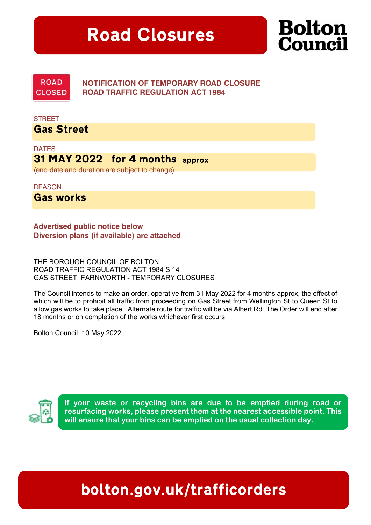## Road Closures



**ROAD CLOSED** 

NOTIFICATION OF TEMPORARY ROAD CLOSURE ROAD TRAFFIC REGULATION ACT 1984

**STREET** Gas Street

**DATES** 31 MAY 2022 for 4 months approx (end date and duration are subject to change)

**REASON** 

Gas works

Advertised public notice below Diversion plans (if available) are attached

THE BOROUGH COUNCIL OF BOLTON ROAD TRAFFIC REGULATION ACT 1984 S.14 GAS STREET, FARNWORTH - TEMPORARY CLOSURES

The Council intends to make an order, operative from 31 May 2022 for 4 months approx, the effect of which will be to prohibit all traffic from proceeding on Gas Street from Wellington St to Queen St to allow gas works to take place. Alternate route for traffic will be via Albert Rd. The Order will end after 18 months or on completion of the works whichever first occurs.

Bolton Council. 10 May 2022.



If your waste or recycling bins are due to be emptied during road or resurfacing works, please present them at the nearest accessible point. This will ensure that your bins can be emptied on the usual collection day.

## bolton.gov.uk/trafficorders